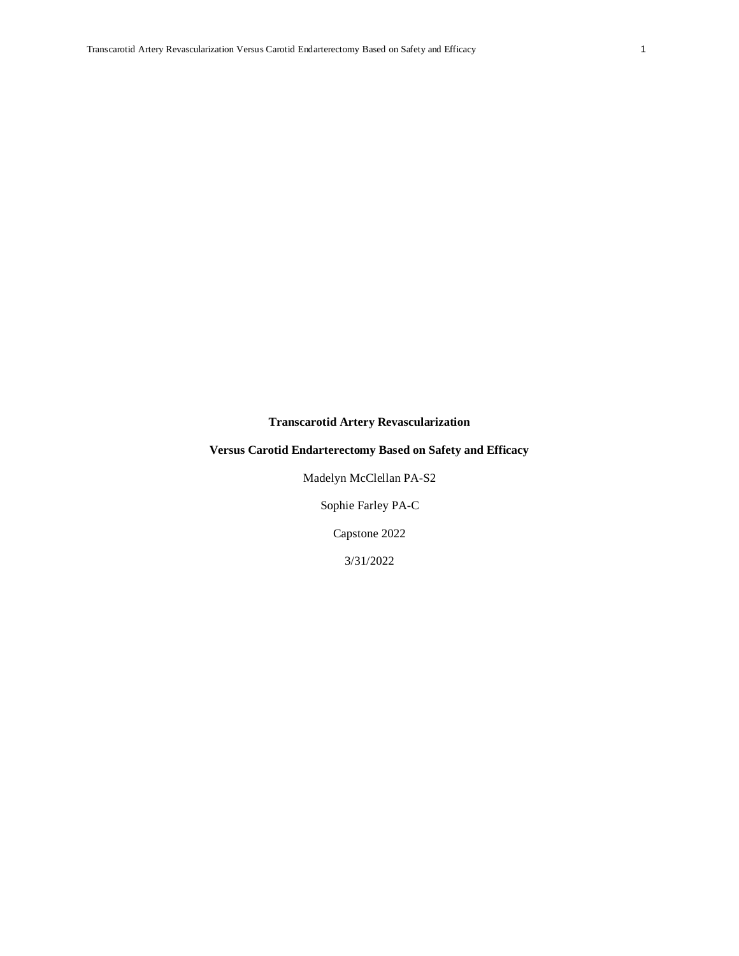# **Transcarotid Artery Revascularization**

# **Versus Carotid Endarterectomy Based on Safety and Efficacy**

Madelyn McClellan PA-S2

Sophie Farley PA-C

Capstone 2022

3/31/2022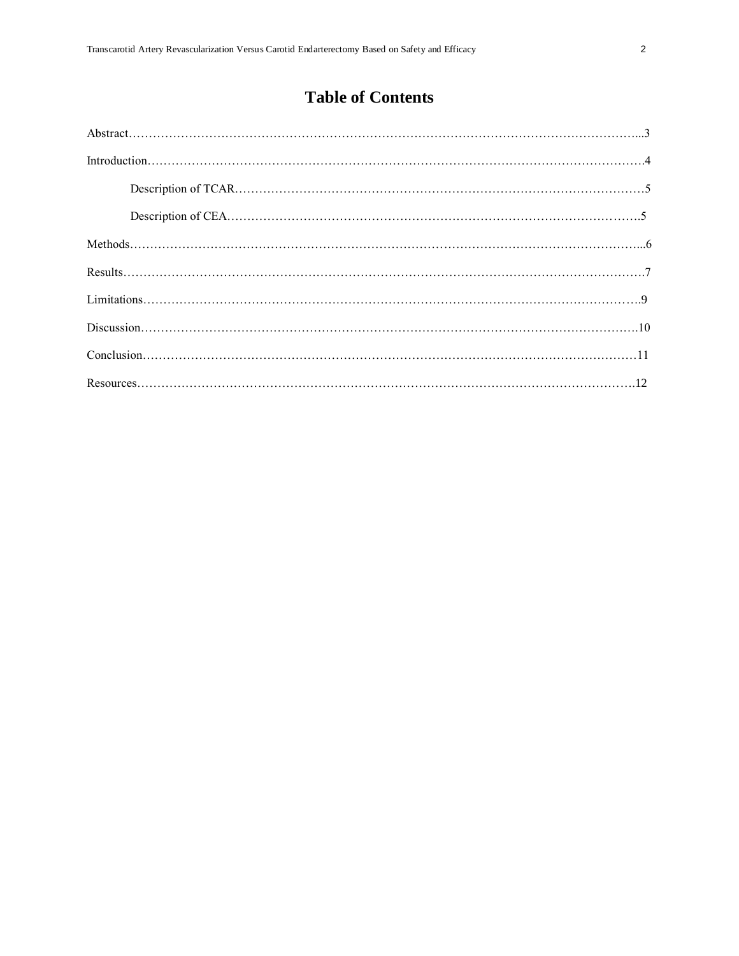# **Table of Contents**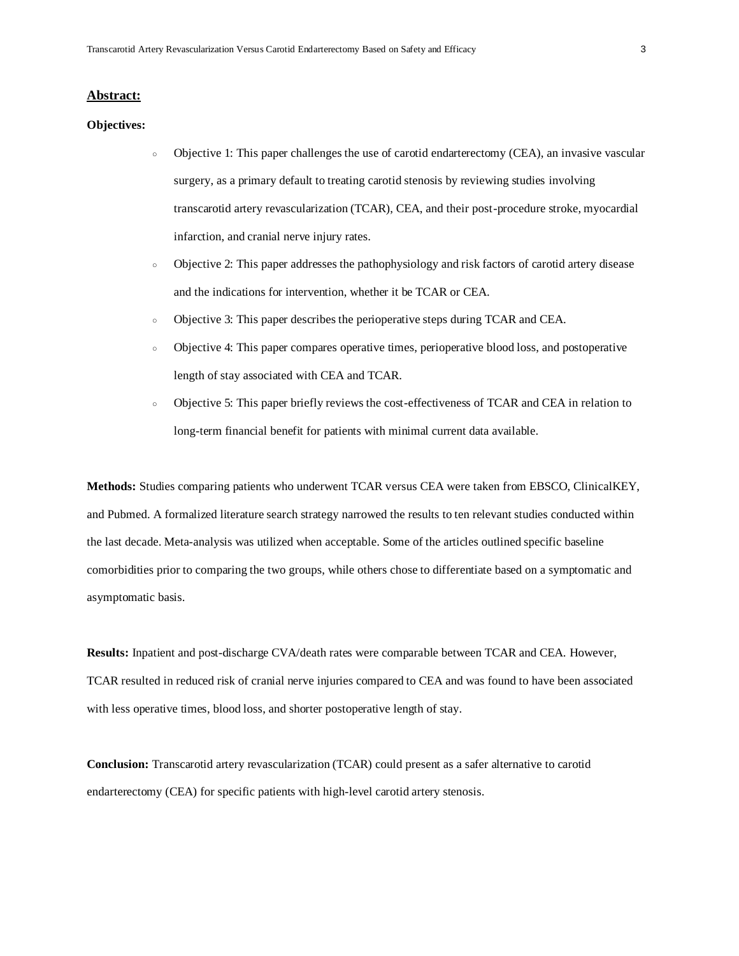#### **Abstract:**

#### **Objectives:**

- Objective 1: This paper challenges the use of carotid endarterectomy (CEA), an invasive vascular surgery, as a primary default to treating carotid stenosis by reviewing studies involving transcarotid artery revascularization (TCAR), CEA, and their post-procedure stroke, myocardial infarction, and cranial nerve injury rates.
- Objective 2: This paper addresses the pathophysiology and risk factors of carotid artery disease and the indications for intervention, whether it be TCAR or CEA.
- Objective 3: This paper describes the perioperative steps during TCAR and CEA.
- Objective 4: This paper compares operative times, perioperative blood loss, and postoperative length of stay associated with CEA and TCAR.
- Objective 5: This paper briefly reviews the cost-effectiveness of TCAR and CEA in relation to long-term financial benefit for patients with minimal current data available.

**Methods:** Studies comparing patients who underwent TCAR versus CEA were taken from EBSCO, ClinicalKEY, and Pubmed. A formalized literature search strategy narrowed the results to ten relevant studies conducted within the last decade. Meta-analysis was utilized when acceptable. Some of the articles outlined specific baseline comorbidities prior to comparing the two groups, while others chose to differentiate based on a symptomatic and asymptomatic basis.

**Results:** Inpatient and post-discharge CVA/death rates were comparable between TCAR and CEA. However, TCAR resulted in reduced risk of cranial nerve injuries compared to CEA and was found to have been associated with less operative times, blood loss, and shorter postoperative length of stay.

**Conclusion:** Transcarotid artery revascularization (TCAR) could present as a safer alternative to carotid endarterectomy (CEA) for specific patients with high-level carotid artery stenosis.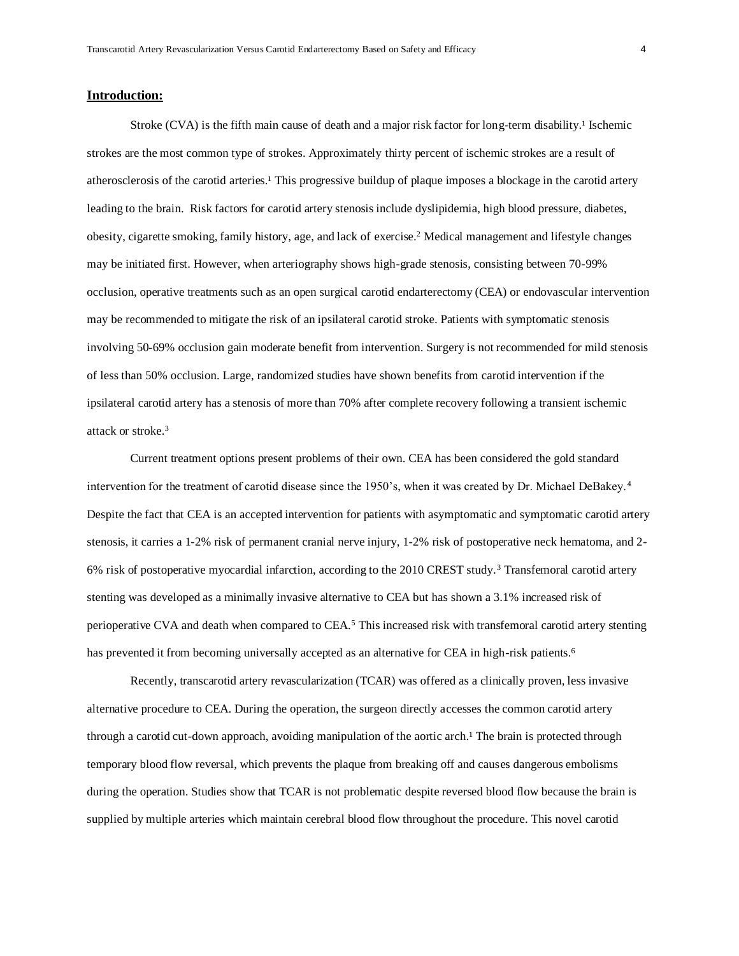#### **Introduction:**

Stroke (CVA) is the fifth main cause of death and a major risk factor for long-term disability.<sup>1</sup> Ischemic strokes are the most common type of strokes. Approximately thirty percent of ischemic strokes are a result of atherosclerosis of the carotid arteries.<sup>1</sup> This progressive buildup of plaque imposes a blockage in the carotid artery leading to the brain. Risk factors for carotid artery stenosis include dyslipidemia, high blood pressure, diabetes, obesity, cigarette smoking, family history, age, and lack of exercise.<sup>2</sup> Medical management and lifestyle changes may be initiated first. However, when arteriography shows high-grade stenosis, consisting between 70-99% occlusion, operative treatments such as an open surgical carotid endarterectomy (CEA) or endovascular intervention may be recommended to mitigate the risk of an ipsilateral carotid stroke. Patients with symptomatic stenosis involving 50-69% occlusion gain moderate benefit from intervention. Surgery is not recommended for mild stenosis of less than 50% occlusion. Large, randomized studies have shown benefits from carotid intervention if the ipsilateral carotid artery has a stenosis of more than 70% after complete recovery following a transient ischemic attack or stroke.<sup>3</sup>

Current treatment options present problems of their own. CEA has been considered the gold standard intervention for the treatment of carotid disease since the 1950's, when it was created by Dr. Michael DeBakey. <sup>4</sup> Despite the fact that CEA is an accepted intervention for patients with asymptomatic and symptomatic carotid artery stenosis, it carries a 1-2% risk of permanent cranial nerve injury, 1-2% risk of postoperative neck hematoma, and 2- 6% risk of postoperative myocardial infarction, according to the 2010 CREST study.<sup>3</sup> Transfemoral carotid artery stenting was developed as a minimally invasive alternative to CEA but has shown a 3.1% increased risk of perioperative CVA and death when compared to CEA.<sup>5</sup> This increased risk with transfemoral carotid artery stenting has prevented it from becoming universally accepted as an alternative for CEA in high-risk patients.<sup>6</sup>

Recently, transcarotid artery revascularization (TCAR) was offered as a clinically proven, less invasive alternative procedure to CEA. During the operation, the surgeon directly accesses the common carotid artery through a carotid cut-down approach, avoiding manipulation of the aortic arch.<sup>1</sup> The brain is protected through temporary blood flow reversal, which prevents the plaque from breaking off and causes dangerous embolisms during the operation. Studies show that TCAR is not problematic despite reversed blood flow because the brain is supplied by multiple arteries which maintain cerebral blood flow throughout the procedure. This novel carotid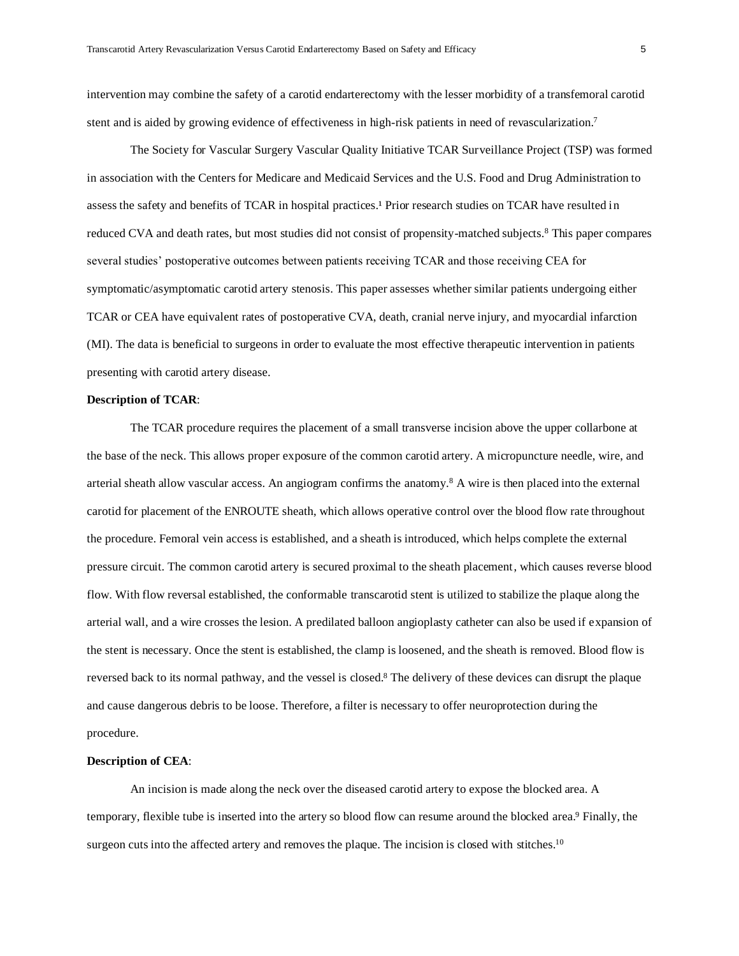intervention may combine the safety of a carotid endarterectomy with the lesser morbidity of a transfemoral carotid stent and is aided by growing evidence of effectiveness in high-risk patients in need of revascularization.<sup>7</sup>

The Society for Vascular Surgery Vascular Quality Initiative TCAR Surveillance Project (TSP) was formed in association with the Centers for Medicare and Medicaid Services and the U.S. Food and Drug Administration to assess the safety and benefits of TCAR in hospital practices.<sup>1</sup> Prior research studies on TCAR have resulted in reduced CVA and death rates, but most studies did not consist of propensity-matched subjects.<sup>8</sup> This paper compares several studies' postoperative outcomes between patients receiving TCAR and those receiving CEA for symptomatic/asymptomatic carotid artery stenosis. This paper assesses whether similar patients undergoing either TCAR or CEA have equivalent rates of postoperative CVA, death, cranial nerve injury, and myocardial infarction (MI). The data is beneficial to surgeons in order to evaluate the most effective therapeutic intervention in patients presenting with carotid artery disease.

#### **Description of TCAR**:

The TCAR procedure requires the placement of a small transverse incision above the upper collarbone at the base of the neck. This allows proper exposure of the common carotid artery. A micropuncture needle, wire, and arterial sheath allow vascular access. An angiogram confirms the anatomy.<sup>8</sup> A wire is then placed into the external carotid for placement of the ENROUTE sheath, which allows operative control over the blood flow rate throughout the procedure. Femoral vein access is established, and a sheath is introduced, which helps complete the external pressure circuit. The common carotid artery is secured proximal to the sheath placement, which causes reverse blood flow. With flow reversal established, the conformable transcarotid stent is utilized to stabilize the plaque along the arterial wall, and a wire crosses the lesion. A predilated balloon angioplasty catheter can also be used if expansion of the stent is necessary. Once the stent is established, the clamp is loosened, and the sheath is removed. Blood flow is reversed back to its normal pathway, and the vessel is closed.<sup>8</sup> The delivery of these devices can disrupt the plaque and cause dangerous debris to be loose. Therefore, a filter is necessary to offer neuroprotection during the procedure.

#### **Description of CEA**:

An incision is made along the neck over the diseased carotid artery to expose the blocked area. A temporary, flexible tube is inserted into the artery so blood flow can resume around the blocked area.<sup>9</sup> Finally, the surgeon cuts into the affected artery and removes the plaque. The incision is closed with stitches.<sup>10</sup>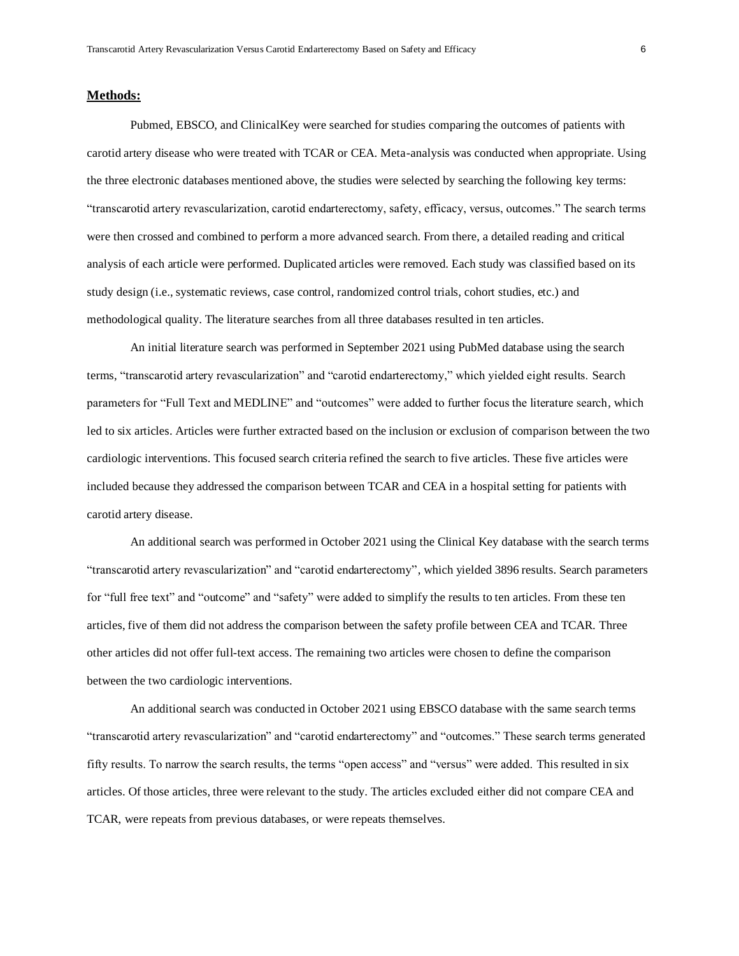#### **Methods:**

Pubmed, EBSCO, and ClinicalKey were searched for studies comparing the outcomes of patients with carotid artery disease who were treated with TCAR or CEA. Meta-analysis was conducted when appropriate. Using the three electronic databases mentioned above, the studies were selected by searching the following key terms: "transcarotid artery revascularization, carotid endarterectomy, safety, efficacy, versus, outcomes." The search terms were then crossed and combined to perform a more advanced search. From there, a detailed reading and critical analysis of each article were performed. Duplicated articles were removed. Each study was classified based on its study design (i.e., systematic reviews, case control, randomized control trials, cohort studies, etc.) and methodological quality. The literature searches from all three databases resulted in ten articles.

An initial literature search was performed in September 2021 using PubMed database using the search terms, "transcarotid artery revascularization" and "carotid endarterectomy," which yielded eight results. Search parameters for "Full Text and MEDLINE" and "outcomes" were added to further focus the literature search, which led to six articles. Articles were further extracted based on the inclusion or exclusion of comparison between the two cardiologic interventions. This focused search criteria refined the search to five articles. These five articles were included because they addressed the comparison between TCAR and CEA in a hospital setting for patients with carotid artery disease.

An additional search was performed in October 2021 using the Clinical Key database with the search terms "transcarotid artery revascularization" and "carotid endarterectomy", which yielded 3896 results. Search parameters for "full free text" and "outcome" and "safety" were added to simplify the results to ten articles. From these ten articles, five of them did not address the comparison between the safety profile between CEA and TCAR. Three other articles did not offer full-text access. The remaining two articles were chosen to define the comparison between the two cardiologic interventions.

An additional search was conducted in October 2021 using EBSCO database with the same search terms "transcarotid artery revascularization" and "carotid endarterectomy" and "outcomes." These search terms generated fifty results. To narrow the search results, the terms "open access" and "versus" were added. This resulted in six articles. Of those articles, three were relevant to the study. The articles excluded either did not compare CEA and TCAR, were repeats from previous databases, or were repeats themselves.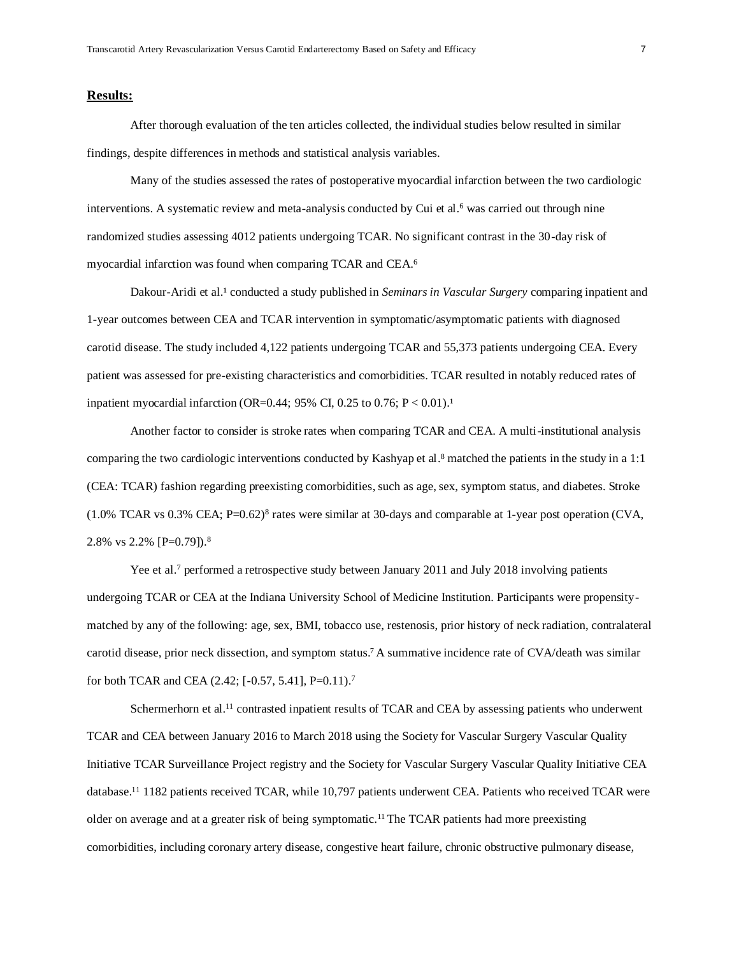### **Results:**

After thorough evaluation of the ten articles collected, the individual studies below resulted in similar findings, despite differences in methods and statistical analysis variables.

Many of the studies assessed the rates of postoperative myocardial infarction between the two cardiologic interventions. A systematic review and meta-analysis conducted by Cui et al. <sup>6</sup> was carried out through nine randomized studies assessing 4012 patients undergoing TCAR. No significant contrast in the 30-day risk of myocardial infarction was found when comparing TCAR and CEA.<sup>6</sup>

Dakour-Aridi et al.<sup>1</sup> conducted a study published in *Seminars in Vascular Surgery* comparing inpatient and 1-year outcomes between CEA and TCAR intervention in symptomatic/asymptomatic patients with diagnosed carotid disease. The study included 4,122 patients undergoing TCAR and 55,373 patients undergoing CEA. Every patient was assessed for pre-existing characteristics and comorbidities. TCAR resulted in notably reduced rates of inpatient myocardial infarction (OR=0.44; 95% CI, 0.25 to 0.76;  $P < 0.01$ ).<sup>1</sup>

Another factor to consider is stroke rates when comparing TCAR and CEA. A multi-institutional analysis comparing the two cardiologic interventions conducted by Kashyap et al. <sup>8</sup> matched the patients in the study in a 1:1 (CEA: TCAR) fashion regarding preexisting comorbidities, such as age, sex, symptom status, and diabetes. Stroke (1.0% TCAR vs 0.3% CEA; P=0.62)<sup>8</sup> rates were similar at 30-days and comparable at 1-year post operation (CVA, 2.8% vs 2.2% [P=0.79]).<sup>8</sup>

Yee et al.<sup>7</sup> performed a retrospective study between January 2011 and July 2018 involving patients undergoing TCAR or CEA at the Indiana University School of Medicine Institution. Participants were propensitymatched by any of the following: age, sex, BMI, tobacco use, restenosis, prior history of neck radiation, contralateral carotid disease, prior neck dissection, and symptom status.<sup>7</sup> A summative incidence rate of CVA/death was similar for both TCAR and CEA (2.42; [-0.57, 5.41], P=0.11).<sup>7</sup>

Schermerhorn et al.<sup>11</sup> contrasted inpatient results of TCAR and CEA by assessing patients who underwent TCAR and CEA between January 2016 to March 2018 using the Society for Vascular Surgery Vascular Quality Initiative TCAR Surveillance Project registry and the Society for Vascular Surgery Vascular Quality Initiative CEA database.<sup>11</sup> 1182 patients received TCAR, while 10,797 patients underwent CEA. Patients who received TCAR were older on average and at a greater risk of being symptomatic.<sup>11</sup> The TCAR patients had more preexisting comorbidities, including coronary artery disease, congestive heart failure, chronic obstructive pulmonary disease,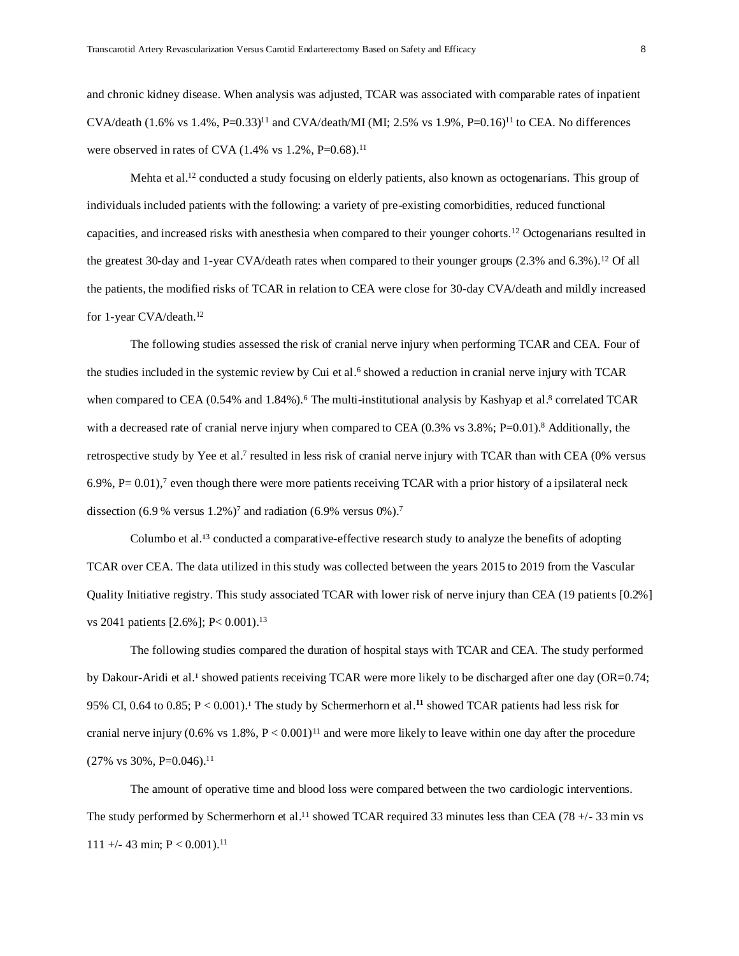and chronic kidney disease. When analysis was adjusted, TCAR was associated with comparable rates of inpatient CVA/death (1.6% vs  $1.4\%$ , P=0.33)<sup>11</sup> and CVA/death/MI (MI; 2.5% vs  $1.9\%$ , P=0.16)<sup>11</sup> to CEA. No differences were observed in rates of CVA (1.4% vs 1.2%, P=0.68).<sup>11</sup>

Mehta et al.<sup>12</sup> conducted a study focusing on elderly patients, also known as octogenarians. This group of individuals included patients with the following: a variety of pre-existing comorbidities, reduced functional capacities, and increased risks with anesthesia when compared to their younger cohorts.<sup>12</sup> Octogenarians resulted in the greatest 30-day and 1-year CVA/death rates when compared to their younger groups (2.3% and 6.3%).<sup>12</sup> Of all the patients, the modified risks of TCAR in relation to CEA were close for 30-day CVA/death and mildly increased for 1-year CVA/death.<sup>12</sup>

The following studies assessed the risk of cranial nerve injury when performing TCAR and CEA. Four of the studies included in the systemic review by Cui et al.<sup>6</sup> showed a reduction in cranial nerve injury with TCAR when compared to CEA (0.54% and 1.84%).<sup>6</sup> The multi-institutional analysis by Kashyap et al.<sup>8</sup> correlated TCAR with a decreased rate of cranial nerve injury when compared to CEA  $(0.3\%$  vs  $3.8\%$ ; P=0.01).<sup>8</sup> Additionally, the retrospective study by Yee et al.<sup>7</sup> resulted in less risk of cranial nerve injury with TCAR than with CEA (0% versus 6.9%,  $P= 0.01$ ,  $\sigma$  even though there were more patients receiving TCAR with a prior history of a ipsilateral neck dissection (6.9 % versus  $1.2\%$ )<sup>7</sup> and radiation (6.9% versus 0%).<sup>7</sup>

Columbo et al.<sup>13</sup> conducted a comparative-effective research study to analyze the benefits of adopting TCAR over CEA. The data utilized in this study was collected between the years 2015 to 2019 from the Vascular Quality Initiative registry. This study associated TCAR with lower risk of nerve injury than CEA (19 patients [0.2%] vs 2041 patients [2.6%]; P< 0.001).<sup>13</sup>

The following studies compared the duration of hospital stays with TCAR and CEA. The study performed by Dakour-Aridi et al.<sup>1</sup> showed patients receiving TCAR were more likely to be discharged after one day (OR=0.74; 95% CI, 0.64 to 0.85;  $P < 0.001$ ).<sup>1</sup> The study by Schermerhorn et al.<sup>11</sup> showed TCAR patients had less risk for cranial nerve injury (0.6% vs 1.8%,  $P < 0.001$ )<sup>11</sup> and were more likely to leave within one day after the procedure  $(27\% \text{ vs } 30\%, \text{ P=0.046}).^{11}$ 

The amount of operative time and blood loss were compared between the two cardiologic interventions. The study performed by Schermerhorn et al.<sup>11</sup> showed TCAR required 33 minutes less than CEA (78 +/- 33 min vs 111 +/- 43 min;  $P < 0.001$ ).<sup>11</sup>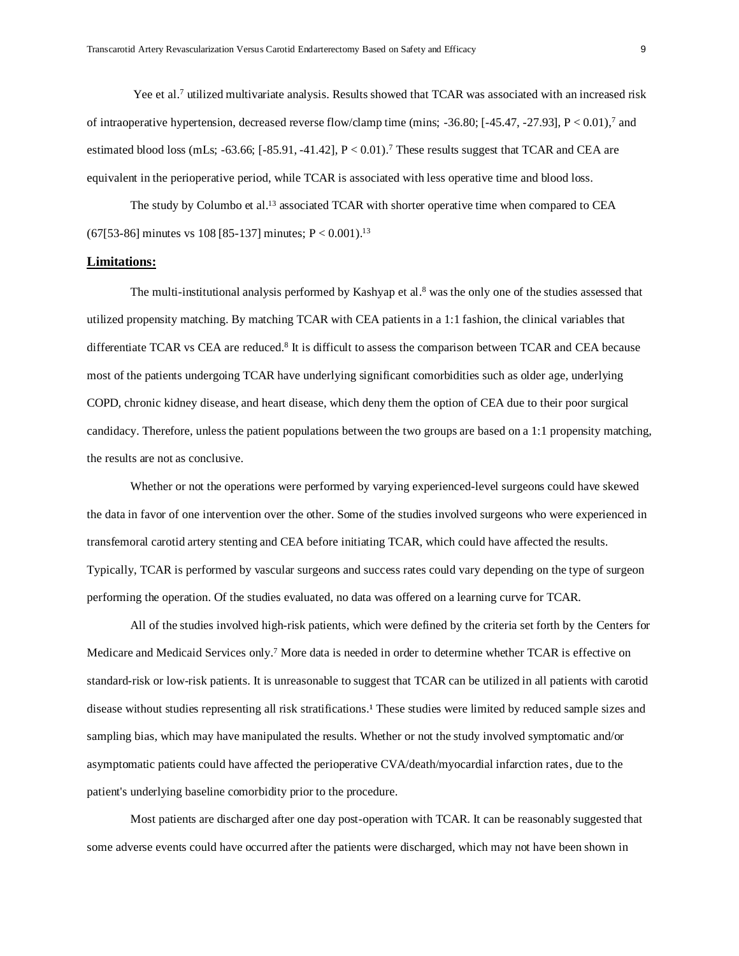Yee et al.<sup>7</sup> utilized multivariate analysis. Results showed that TCAR was associated with an increased risk of intraoperative hypertension, decreased reverse flow/clamp time (mins; -36.80;  $[-45.47, -27.93]$ ,  $P < 0.01$ ),<sup>7</sup> and estimated blood loss (mLs;  $-63.66$ ;  $[-85.91, -41.42]$ ,  $P < 0.01$ ).<sup>7</sup> These results suggest that TCAR and CEA are equivalent in the perioperative period, while TCAR is associated with less operative time and blood loss.

The study by Columbo et al.<sup>13</sup> associated TCAR with shorter operative time when compared to CEA (67[53-86] minutes vs 108 [85-137] minutes; P < 0.001).<sup>13</sup>

## **Limitations:**

The multi-institutional analysis performed by Kashyap et al. <sup>8</sup> was the only one of the studies assessed that utilized propensity matching. By matching TCAR with CEA patients in a 1:1 fashion, the clinical variables that differentiate TCAR vs CEA are reduced.<sup>8</sup> It is difficult to assess the comparison between TCAR and CEA because most of the patients undergoing TCAR have underlying significant comorbidities such as older age, underlying COPD, chronic kidney disease, and heart disease, which deny them the option of CEA due to their poor surgical candidacy. Therefore, unless the patient populations between the two groups are based on a 1:1 propensity matching, the results are not as conclusive.

Whether or not the operations were performed by varying experienced-level surgeons could have skewed the data in favor of one intervention over the other. Some of the studies involved surgeons who were experienced in transfemoral carotid artery stenting and CEA before initiating TCAR, which could have affected the results. Typically, TCAR is performed by vascular surgeons and success rates could vary depending on the type of surgeon performing the operation. Of the studies evaluated, no data was offered on a learning curve for TCAR.

All of the studies involved high-risk patients, which were defined by the criteria set forth by the Centers for Medicare and Medicaid Services only.<sup>7</sup> More data is needed in order to determine whether TCAR is effective on standard-risk or low-risk patients. It is unreasonable to suggest that TCAR can be utilized in all patients with carotid disease without studies representing all risk stratifications.<sup>1</sup> These studies were limited by reduced sample sizes and sampling bias, which may have manipulated the results. Whether or not the study involved symptomatic and/or asymptomatic patients could have affected the perioperative CVA/death/myocardial infarction rates, due to the patient's underlying baseline comorbidity prior to the procedure.

Most patients are discharged after one day post-operation with TCAR. It can be reasonably suggested that some adverse events could have occurred after the patients were discharged, which may not have been shown in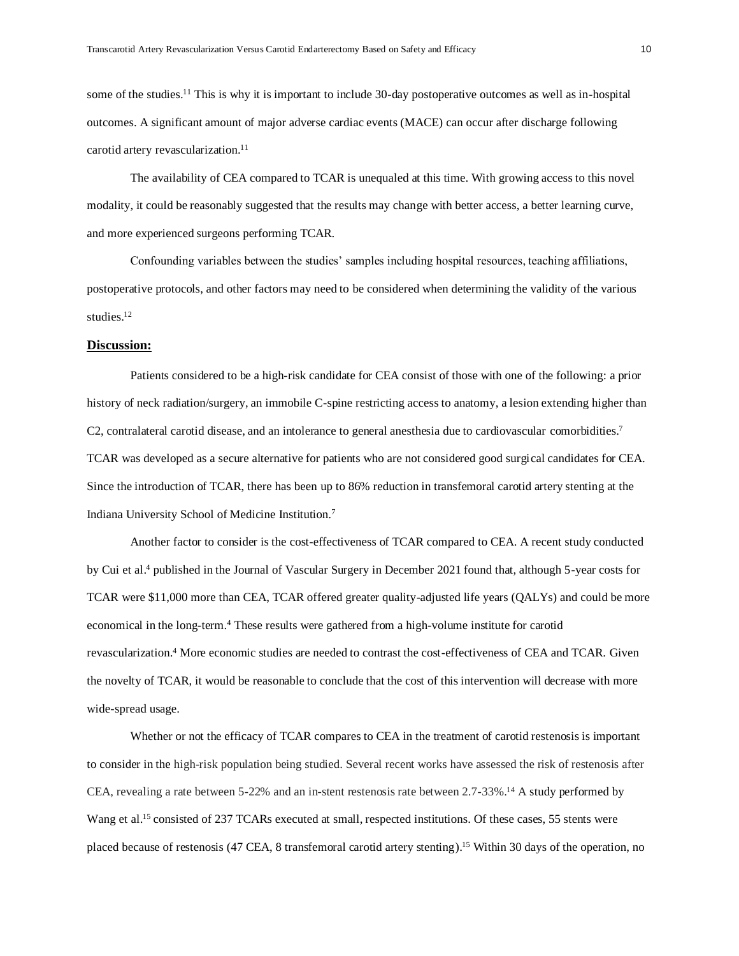some of the studies.<sup>11</sup> This is why it is important to include 30-day postoperative outcomes as well as in-hospital outcomes. A significant amount of major adverse cardiac events (MACE) can occur after discharge following carotid artery revascularization.<sup>11</sup>

The availability of CEA compared to TCAR is unequaled at this time. With growing access to this novel modality, it could be reasonably suggested that the results may change with better access, a better learning curve, and more experienced surgeons performing TCAR.

Confounding variables between the studies' samples including hospital resources, teaching affiliations, postoperative protocols, and other factors may need to be considered when determining the validity of the various studies.<sup>12</sup>

# **Discussion:**

Patients considered to be a high-risk candidate for CEA consist of those with one of the following: a prior history of neck radiation/surgery, an immobile C-spine restricting access to anatomy, a lesion extending higher than C2, contralateral carotid disease, and an intolerance to general anesthesia due to cardiovascular comorbidities.<sup>7</sup> TCAR was developed as a secure alternative for patients who are not considered good surgical candidates for CEA. Since the introduction of TCAR, there has been up to 86% reduction in transfemoral carotid artery stenting at the Indiana University School of Medicine Institution.<sup>7</sup>

Another factor to consider is the cost-effectiveness of TCAR compared to CEA. A recent study conducted by Cui et al. <sup>4</sup> published in the Journal of Vascular Surgery in December 2021 found that, although 5-year costs for TCAR were \$11,000 more than CEA, TCAR offered greater quality-adjusted life years (QALYs) and could be more economical in the long-term.<sup>4</sup> These results were gathered from a high-volume institute for carotid revascularization.<sup>4</sup> More economic studies are needed to contrast the cost-effectiveness of CEA and TCAR. Given the novelty of TCAR, it would be reasonable to conclude that the cost of this intervention will decrease with more wide-spread usage.

Whether or not the efficacy of TCAR compares to CEA in the treatment of carotid restenosis is important to consider in the high-risk population being studied. Several recent works have assessed the risk of restenosis after CEA, revealing a rate between 5-22% and an in-stent restenosis rate between 2.7-33%.<sup>14</sup> A study performed by Wang et al.<sup>15</sup> consisted of 237 TCARs executed at small, respected institutions. Of these cases, 55 stents were placed because of restenosis (47 CEA, 8 transfemoral carotid artery stenting).<sup>15</sup> Within 30 days of the operation, no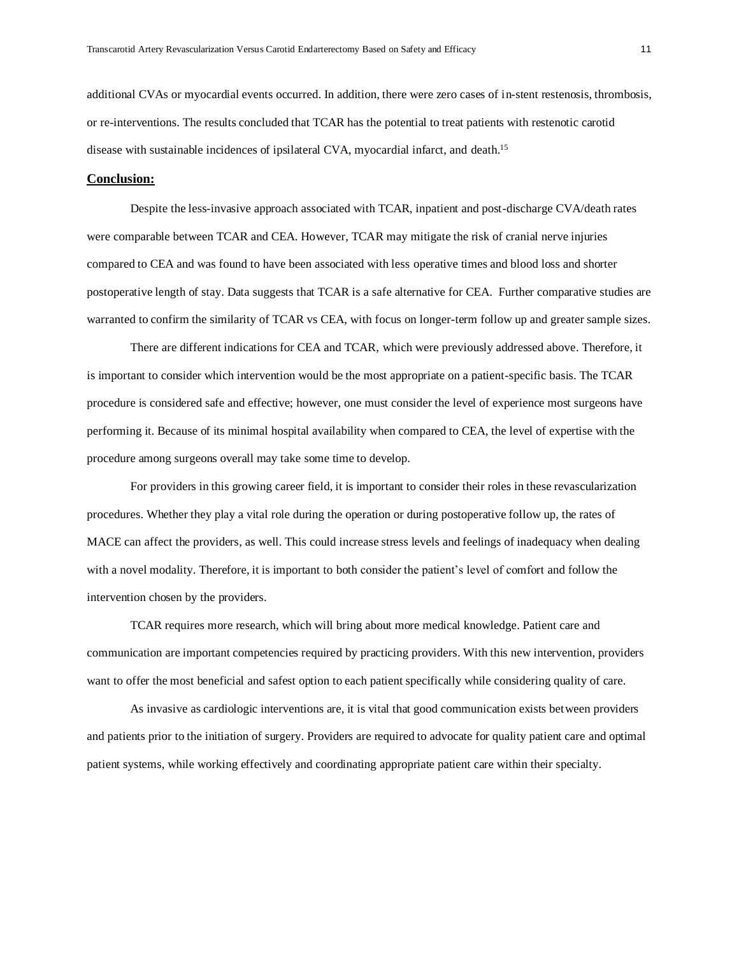additional CVAs or myocardial events occurred. In addition, there were zero cases of in-stent restenosis, thrombosis, or re-interventions. The results concluded that TCAR has the potential to treat patients with restenotic carotid disease with sustainable incidences of ipsilateral CVA, myocardial infarct, and death.<sup>15</sup>

## **Conclusion:**

Despite the less-invasive approach associated with TCAR, inpatient and post-discharge CVA/death rates were comparable between TCAR and CEA. However, TCAR may mitigate the risk of cranial nerve injuries compared to CEA and was found to have been associated with less operative times and blood loss and shorter postoperative length of stay. Data suggests that TCAR is a safe alternative for CEA. Further comparative studies are warranted to confirm the similarity of TCAR vs CEA, with focus on longer-term follow up and greater sample sizes.

There are different indications for CEA and TCAR, which were previously addressed above. Therefore, it is important to consider which intervention would be the most appropriate on a patient-specific basis. The TCAR procedure is considered safe and effective; however, one must consider the level of experience most surgeons have performing it. Because of its minimal hospital availability when compared to CEA, the level of expertise with the procedure among surgeons overall may take some time to develop.

For providers in this growing career field, it is important to consider their roles in these revascularization procedures. Whether they play a vital role during the operation or during postoperative follow up, the rates of MACE can affect the providers, as well. This could increase stress levels and feelings of inadequacy when dealing with a novel modality. Therefore, it is important to both consider the patient's level of comfort and follow the intervention chosen by the providers.

TCAR requires more research, which will bring about more medical knowledge. Patient care and communication are important competencies required by practicing providers. With this new intervention, providers want to offer the most beneficial and safest option to each patient specifically while considering quality of care.

As invasive as cardiologic interventions are, it is vital that good communication exists between providers and patients prior to the initiation of surgery. Providers are required to advocate for quality patient care and optimal patient systems, while working effectively and coordinating appropriate patient care within their specialty.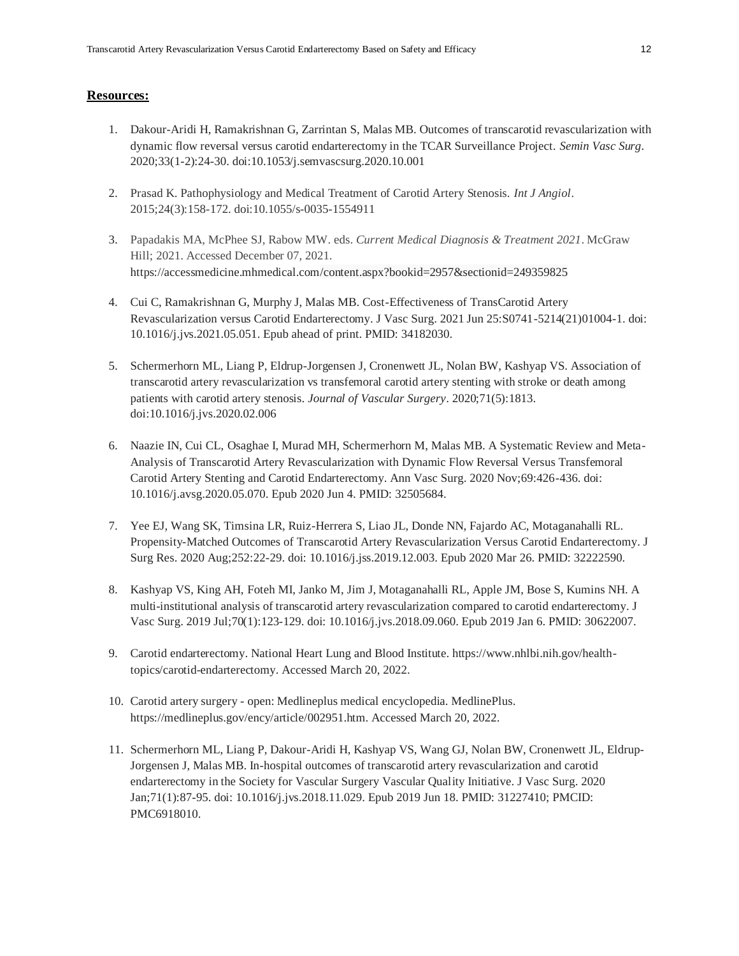#### **Resources:**

- 1. Dakour-Aridi H, Ramakrishnan G, Zarrintan S, Malas MB. Outcomes of transcarotid revascularization with dynamic flow reversal versus carotid endarterectomy in the TCAR Surveillance Project. *Semin Vasc Surg*. 2020;33(1-2):24-30. doi:10.1053/j.semvascsurg.2020.10.001
- 2. Prasad K. Pathophysiology and Medical Treatment of Carotid Artery Stenosis. *Int J Angiol*. 2015;24(3):158-172. doi:10.1055/s-0035-1554911
- 3. Papadakis MA, McPhee SJ, Rabow MW. eds. *Current Medical Diagnosis & Treatment 2021*. McGraw Hill; 2021. Accessed December 07, 2021. [https://accessmedicine.mhmedical.com/content.aspx?bookid=2957&sectionid=249359825](https://accessmedicine.mhmedical.com/content.aspx?bookid=2957§ionid=249359825)
- 4. Cui C, Ramakrishnan G, Murphy J, Malas MB. Cost-Effectiveness of TransCarotid Artery Revascularization versus Carotid Endarterectomy. J Vasc Surg. 2021 Jun 25:S0741-5214(21)01004-1. doi: 10.1016/j.jvs.2021.05.051. Epub ahead of print. PMID: 34182030.
- 5. Schermerhorn ML, Liang P, Eldrup-Jorgensen J, Cronenwett JL, Nolan BW, Kashyap VS. Association of transcarotid artery revascularization vs transfemoral carotid artery stenting with stroke or death among patients with carotid artery stenosis. *Journal of Vascular Surgery*. 2020;71(5):1813. doi:10.1016/j.jvs.2020.02.006
- 6. Naazie IN, Cui CL, Osaghae I, Murad MH, Schermerhorn M, Malas MB. A Systematic Review and Meta-Analysis of Transcarotid Artery Revascularization with Dynamic Flow Reversal Versus Transfemoral Carotid Artery Stenting and Carotid Endarterectomy. Ann Vasc Surg. 2020 Nov;69:426-436. doi: 10.1016/j.avsg.2020.05.070. Epub 2020 Jun 4. PMID: 32505684.
- 7. Yee EJ, Wang SK, Timsina LR, Ruiz-Herrera S, Liao JL, Donde NN, Fajardo AC, Motaganahalli RL. Propensity-Matched Outcomes of Transcarotid Artery Revascularization Versus Carotid Endarterectomy. J Surg Res. 2020 Aug;252:22-29. doi: 10.1016/j.jss.2019.12.003. Epub 2020 Mar 26. PMID: 32222590.
- 8. Kashyap VS, King AH, Foteh MI, Janko M, Jim J, Motaganahalli RL, Apple JM, Bose S, Kumins NH. A multi-institutional analysis of transcarotid artery revascularization compared to carotid endarterectomy. J Vasc Surg. 2019 Jul;70(1):123-129. doi: 10.1016/j.jvs.2018.09.060. Epub 2019 Jan 6. PMID: 30622007.
- 9. Carotid endarterectomy. National Heart Lung and Blood Institute. https://www.nhlbi.nih.gov/healthtopics/carotid-endarterectomy. Accessed March 20, 2022.
- 10. Carotid artery surgery open: Medlineplus medical encyclopedia. MedlinePlus. https://medlineplus.gov/ency/article/002951.htm. Accessed March 20, 2022.
- 11. Schermerhorn ML, Liang P, Dakour-Aridi H, Kashyap VS, Wang GJ, Nolan BW, Cronenwett JL, Eldrup-Jorgensen J, Malas MB. In-hospital outcomes of transcarotid artery revascularization and carotid endarterectomy in the Society for Vascular Surgery Vascular Quality Initiative. J Vasc Surg. 2020 Jan;71(1):87-95. doi: 10.1016/j.jvs.2018.11.029. Epub 2019 Jun 18. PMID: 31227410; PMCID: PMC6918010.